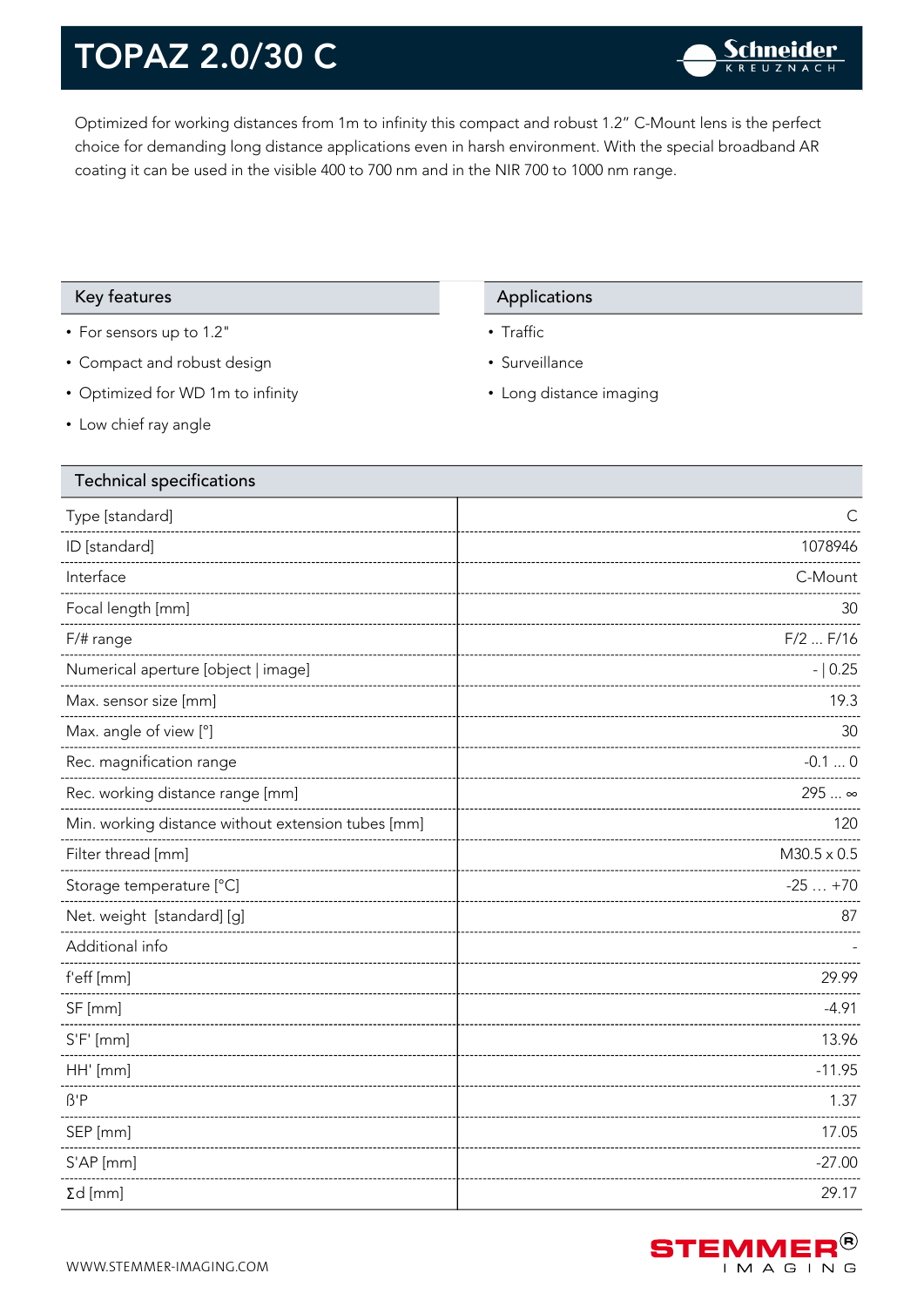Optimized for working distances from 1m to infinity this compact and robust 1.2" C-Mount lens is the perfect choice for demanding long distance applications even in harsh environment. With the special broadband AR coating it can be used in the visible 400 to 700 nm and in the NIR 700 to 1000 nm range.

#### Key features **Applications** Applications

- For sensors up to 1.2"
- Compact and robust design
- Optimized for WD 1m to infinity
- Low chief ray angle

#### Technical specifications

### Type [standard] C ID [standard] 1078946 Interface C-Mount Focal length [mm] 30 F/# range F/2 ... F/16 Numerical aperture [object | image]  $\qquad \qquad$  |  $\qquad \qquad$  |  $\qquad \qquad$  - | 0.25 Max. sensor size [mm] 19.3 Max. angle of view [°] 30 Rec. magnification range  $-0.1 \dots 0$ Rec. working distance range [mm] 295 ... ∞ Min. working distance without extension tubes [mm] 120 ---------------Filter thread [mm] M30.5 x 0.5 Storage temperature [°C]  $\sim$  25 ... +70 Net. weight [standard] [g] 87 Additional info f'eff [mm] 29.99 SF [mm] -4.91 S'F' [mm] 13.96 [13] 13.96 [13] 13.96 [13] 13.96 [13] 13.96 [13] 13.96 [13] 13.96 [13] 13.96 [13] 13.96 [13] 1 HH' [mm] -11.95 ß'P 1.37 SEP [mm] 17.05 S'AP [mm] -27.00 Σd [mm] 29.17



• Traffic

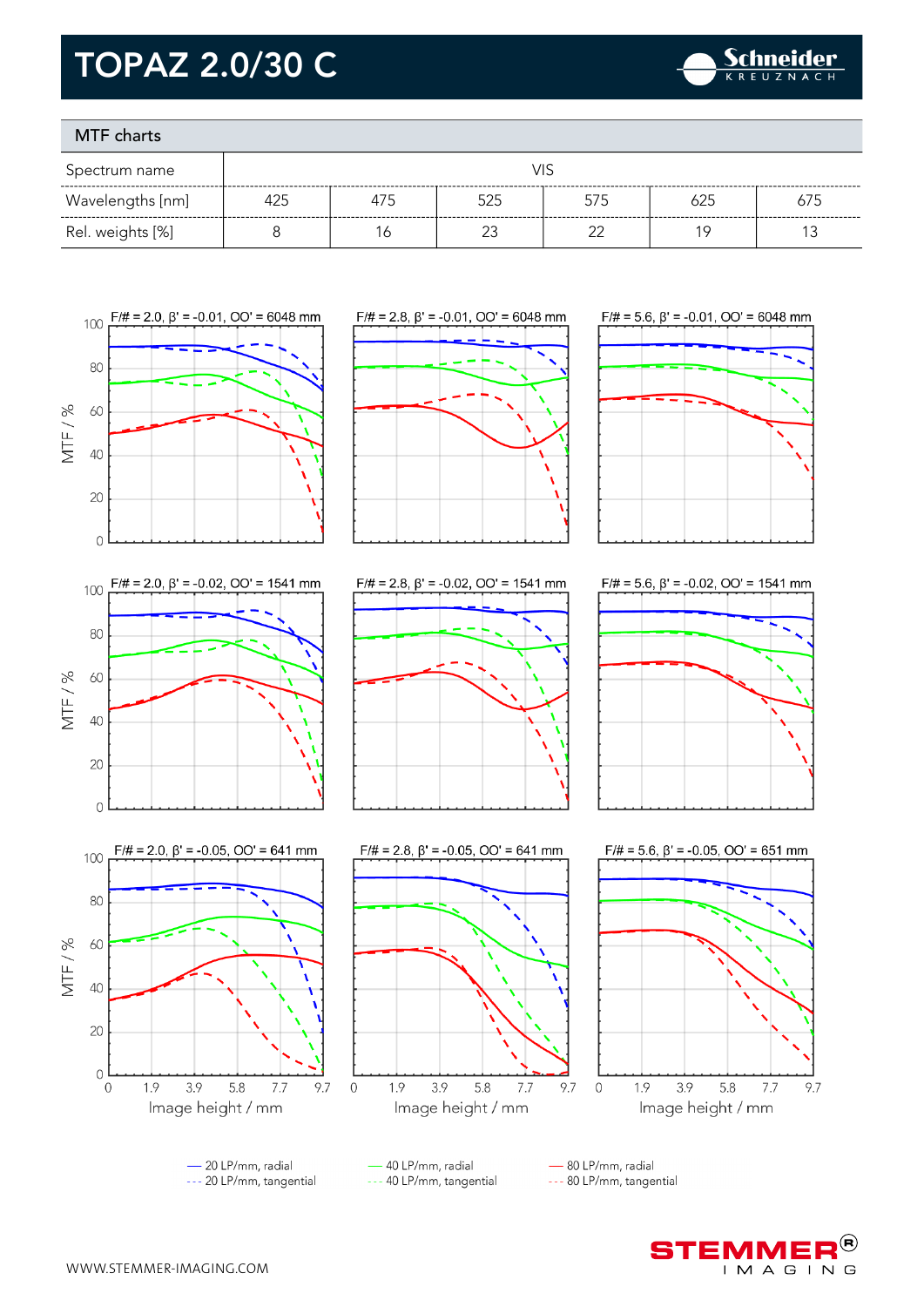

#### MTF charts

| Spectrum name    | VIS |     |     |     |     |     |
|------------------|-----|-----|-----|-----|-----|-----|
| Wavelengths [nm] | 425 | 475 | 525 | 575 | 625 | 675 |
| Rel. weights [%] |     | 6   |     | ົ   | 1 Q |     |



- --- 20 LP/mm, tangential
- 40 LP/mm, radial --- 40 LP/mm, tangential

--- 80 LP/mm, tangential



9.7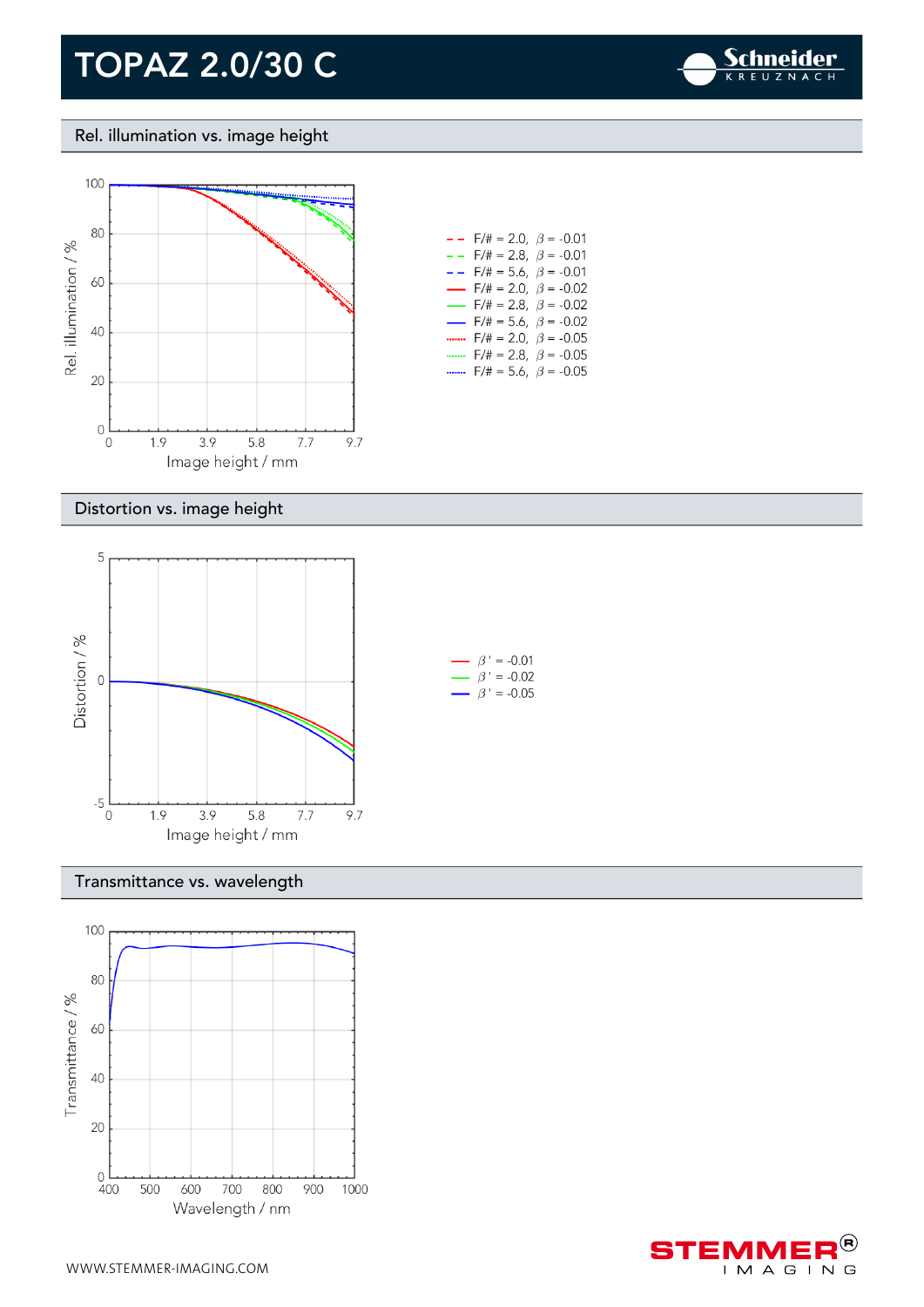

Rel. illumination vs. image height



#### Distortion vs. image height



#### Transmittance vs. wavelength



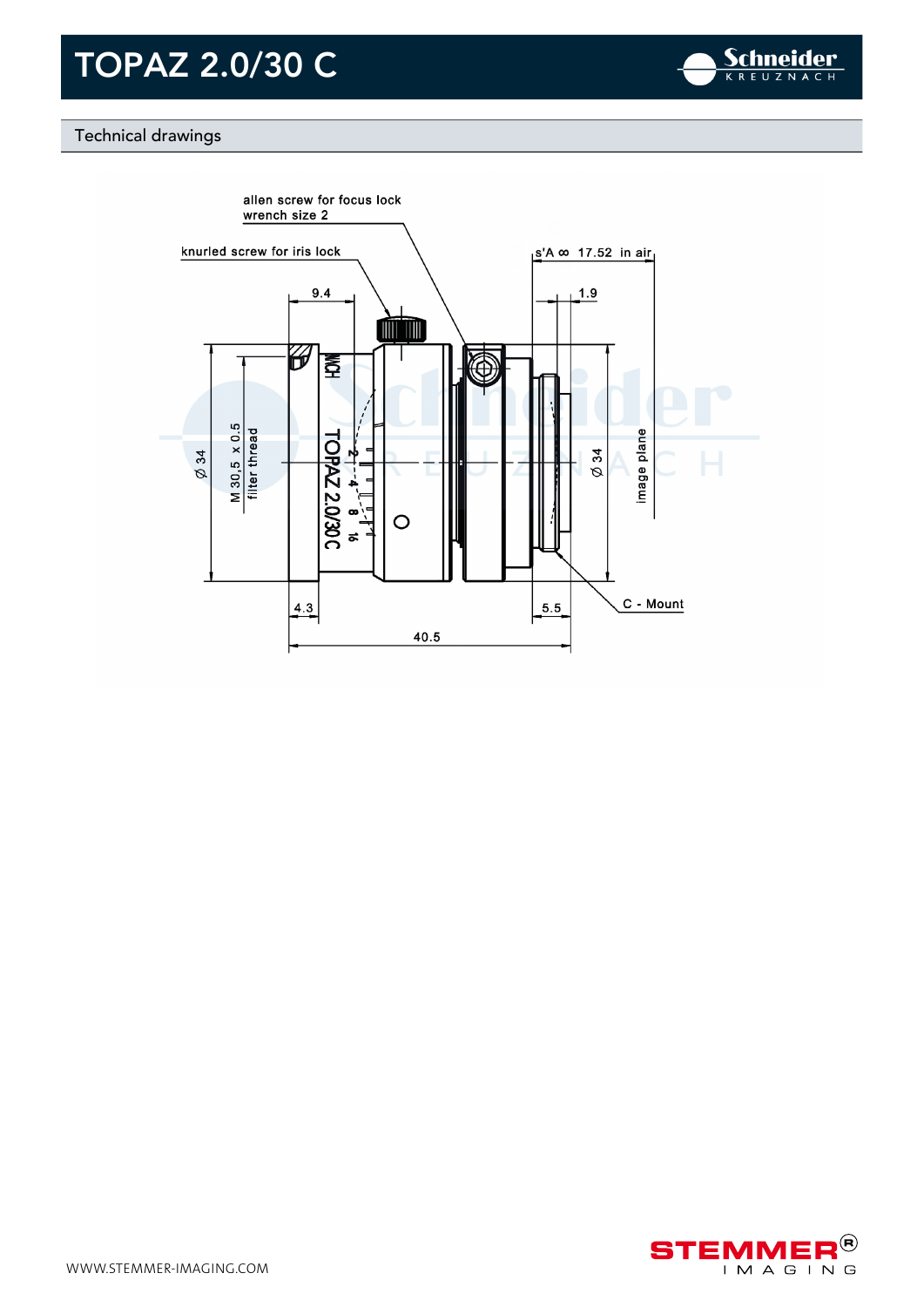

### Technical drawings



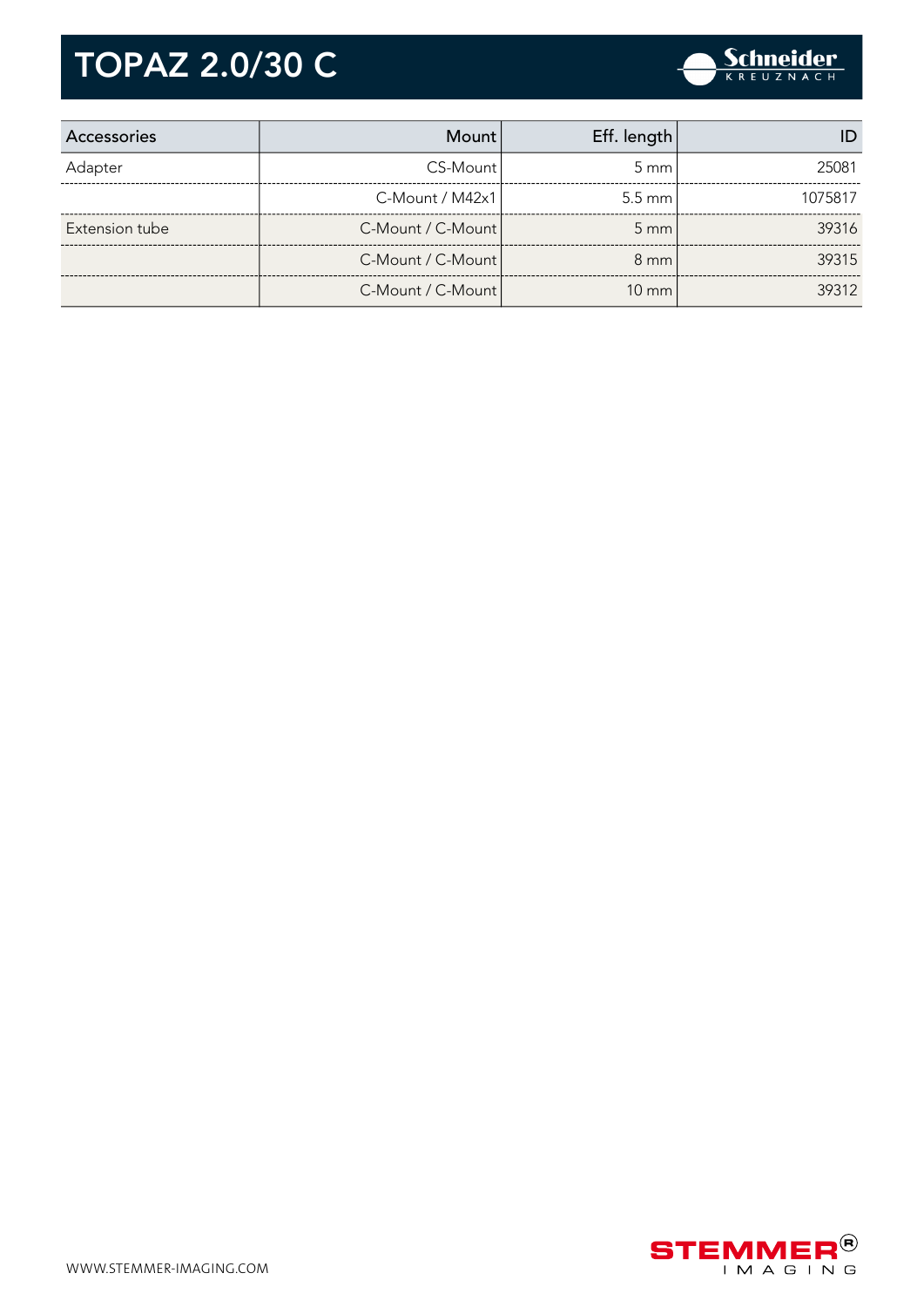| Accessories    | <b>Mount</b>      | Eff. length      |         |
|----------------|-------------------|------------------|---------|
| Adapter        | CS-Mount          | $5 \text{ mm}$   | 25081   |
|                | C-Mount / M42x1   | $5.5 \text{ mm}$ | 1075817 |
| Extension tube | C-Mount / C-Mount | $5 \, \text{mm}$ | 39316   |
|                | C-Mount / C-Mount | $8 \text{ mm}$   | 39315   |
|                | C-Mount / C-Mount | $10 \text{ mm}$  | 39312   |